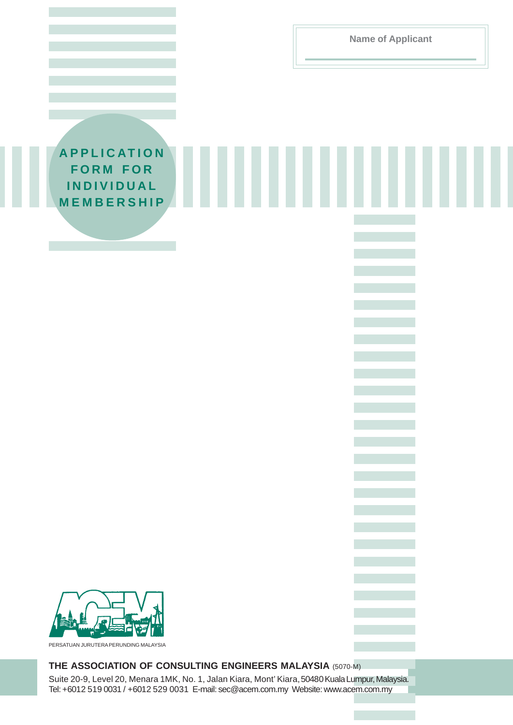**Name of Applicant**

**APPLICATION FORM FOR INDIVIDUAL MEMBERSHIP**



PERSATUAN JURUTERA PERUNDING MALAYSIA

# **THE ASSOCIATION OF CONSULTING ENGINEERS MALAYSIA** (5070-M)

Suite 20-9, Level 20, Menara 1MK, No. 1, Jalan Kiara, Mont' Kiara, 50480 Kuala Lumpur, Malaysia. Tel: +6012 519 0031 / +6012 529 0031 E-mail: sec@acem.com.my Website: www.acem.com.my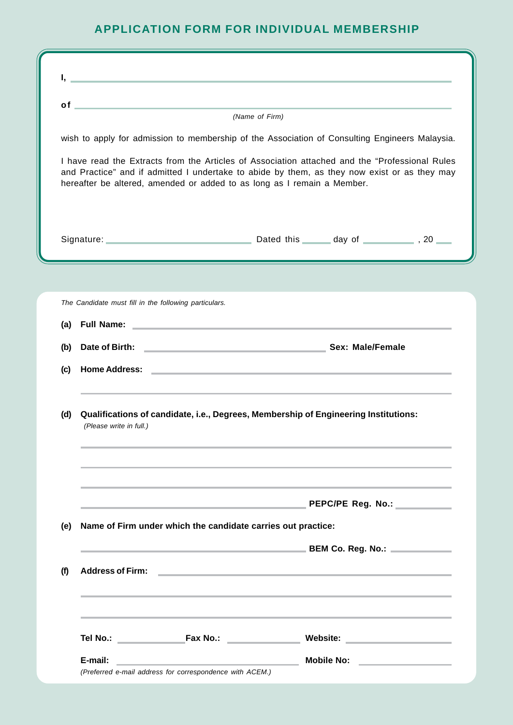# **APPLICATION FORM FOR INDIVIDUAL MEMBERSHIP**

| of         | <u> 1989 - Johann Barn, mars et al. (b. 1989)</u>                                                                                                                                                                                                                         |  |                                                                                                                         |  |  |
|------------|---------------------------------------------------------------------------------------------------------------------------------------------------------------------------------------------------------------------------------------------------------------------------|--|-------------------------------------------------------------------------------------------------------------------------|--|--|
|            | (Name of Firm)<br>wish to apply for admission to membership of the Association of Consulting Engineers Malaysia.                                                                                                                                                          |  |                                                                                                                         |  |  |
|            |                                                                                                                                                                                                                                                                           |  |                                                                                                                         |  |  |
|            | I have read the Extracts from the Articles of Association attached and the "Professional Rules<br>and Practice" and if admitted I undertake to abide by them, as they now exist or as they may<br>hereafter be altered, amended or added to as long as I remain a Member. |  |                                                                                                                         |  |  |
|            |                                                                                                                                                                                                                                                                           |  |                                                                                                                         |  |  |
|            | The Candidate must fill in the following particulars.                                                                                                                                                                                                                     |  |                                                                                                                         |  |  |
| (a)        | Full Name: <u>Discovery and the series of the series of the series of the series of the series of the series of the series of the series of the series of the series of the series of the series of the series of the series of </u>                                      |  |                                                                                                                         |  |  |
| (b)        | Date of Birth: Sex: Male/Female                                                                                                                                                                                                                                           |  |                                                                                                                         |  |  |
| (c)        |                                                                                                                                                                                                                                                                           |  |                                                                                                                         |  |  |
| (d)        | Qualifications of candidate, i.e., Degrees, Membership of Engineering Institutions:<br>(Please write in full.)                                                                                                                                                            |  |                                                                                                                         |  |  |
|            |                                                                                                                                                                                                                                                                           |  |                                                                                                                         |  |  |
|            | the control of the control of the control of the control of the control of the control of                                                                                                                                                                                 |  | PEPC/PE Reg. No.: ____________                                                                                          |  |  |
|            | Name of Firm under which the candidate carries out practice:                                                                                                                                                                                                              |  |                                                                                                                         |  |  |
|            |                                                                                                                                                                                                                                                                           |  |                                                                                                                         |  |  |
| (e)<br>(f) | <b>Address of Firm:</b>                                                                                                                                                                                                                                                   |  | <u> Andreas Andreas Andreas Andreas Andreas Andreas Andreas Andreas Andreas Andreas Andreas Andreas Andreas Andreas</u> |  |  |
|            | ,我们也不能在这里的时候,我们也不能在这里的时候,我们也不能会在这里的时候,我们也不能会在这里的时候,我们也不能会在这里的时候,我们也不能会在这里的时候,我们也不                                                                                                                                                                                         |  |                                                                                                                         |  |  |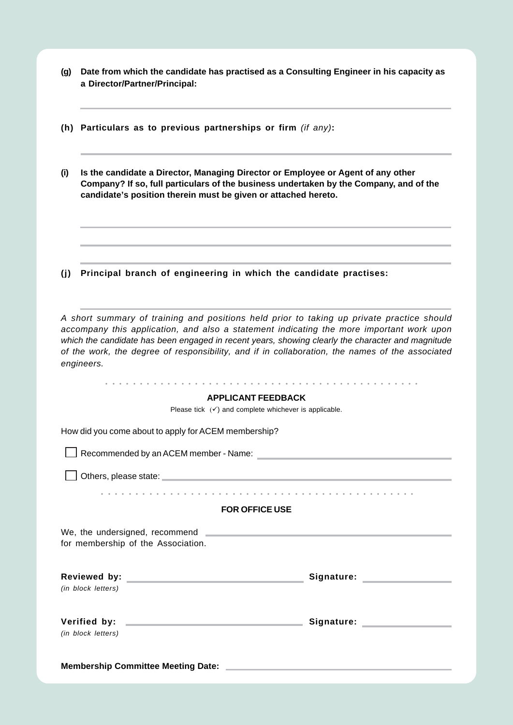| (g) Date from which the candidate has practised as a Consulting Engineer in his capacity as |
|---------------------------------------------------------------------------------------------|
| a Director/Partner/Principal:                                                               |

- **(h) Particulars as to previous partnerships or firm** *(if any)***:**
- **(i) Is the candidate a Director, Managing Director or Employee or Agent of any other Company? If so, full particulars of the business undertaken by the Company, and of the candidate's position therein must be given or attached hereto.**
- **(j) Principal branch of engineering in which the candidate practises:**

*A short summary of training and positions held prior to taking up private practice should accompany this application, and also a statement indicating the more important work upon which the candidate has been engaged in recent years, showing clearly the character and magnitude of the work, the degree of responsibility, and if in collaboration, the names of the associated engineers.*

| <b>APPLICANT FEEDBACK</b>                                                                                                                                                                                                                                                  |                                    |  |  |  |
|----------------------------------------------------------------------------------------------------------------------------------------------------------------------------------------------------------------------------------------------------------------------------|------------------------------------|--|--|--|
| Please tick $(\checkmark)$ and complete whichever is applicable.                                                                                                                                                                                                           |                                    |  |  |  |
| How did you come about to apply for ACEM membership?                                                                                                                                                                                                                       |                                    |  |  |  |
| Superintended by an ACEM member - Name: superintended by an ACEM member - Name: superintended by an ACEM member - Name:                                                                                                                                                    |                                    |  |  |  |
| Others, please state: example and a state of the state of the state of the state of the state of the state of                                                                                                                                                              |                                    |  |  |  |
|                                                                                                                                                                                                                                                                            |                                    |  |  |  |
| <b>FOR OFFICE USE</b>                                                                                                                                                                                                                                                      |                                    |  |  |  |
| We, the undersigned, recommend <b>Contract and Contract and Contract and Contract and Contract and Contract and Contract and Contract and Contract and Contract and Contract and Contract and Contract and Contract and Contract</b><br>for membership of the Association. |                                    |  |  |  |
| (in block letters)                                                                                                                                                                                                                                                         | Signature: Signature:              |  |  |  |
| (in block letters)                                                                                                                                                                                                                                                         | Signature: National Communications |  |  |  |
| <b>Membership Committee Meeting Date:</b>                                                                                                                                                                                                                                  |                                    |  |  |  |